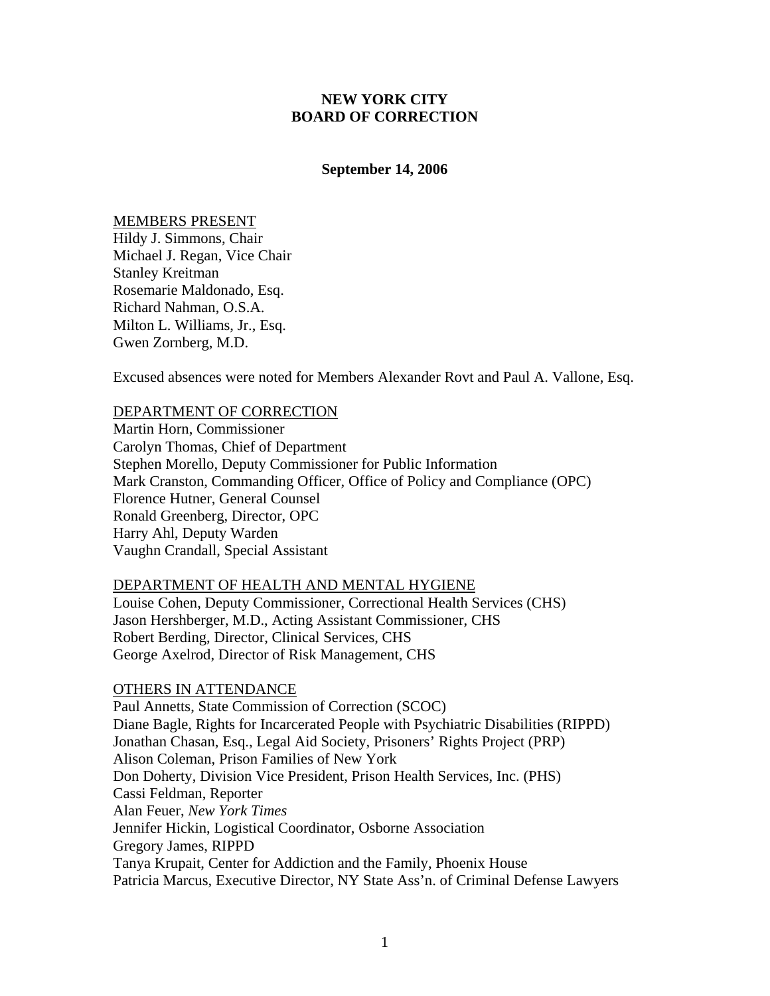## **NEW YORK CITY BOARD OF CORRECTION**

#### **September 14, 2006**

MEMBERS PRESENT Hildy J. Simmons, Chair Michael J. Regan, Vice Chair Stanley Kreitman Rosemarie Maldonado, Esq. Richard Nahman, O.S.A. Milton L. Williams, Jr., Esq. Gwen Zornberg, M.D.

Excused absences were noted for Members Alexander Rovt and Paul A. Vallone, Esq.

### DEPARTMENT OF CORRECTION

Martin Horn, Commissioner Carolyn Thomas, Chief of Department Stephen Morello, Deputy Commissioner for Public Information Mark Cranston, Commanding Officer, Office of Policy and Compliance (OPC) Florence Hutner, General Counsel Ronald Greenberg, Director, OPC Harry Ahl, Deputy Warden Vaughn Crandall, Special Assistant

# DEPARTMENT OF HEALTH AND MENTAL HYGIENE

Louise Cohen, Deputy Commissioner, Correctional Health Services (CHS) Jason Hershberger, M.D., Acting Assistant Commissioner, CHS Robert Berding, Director, Clinical Services, CHS George Axelrod, Director of Risk Management, CHS

## OTHERS IN ATTENDANCE

Paul Annetts, State Commission of Correction (SCOC) Diane Bagle, Rights for Incarcerated People with Psychiatric Disabilities (RIPPD) Jonathan Chasan, Esq., Legal Aid Society, Prisoners' Rights Project (PRP) Alison Coleman, Prison Families of New York Don Doherty, Division Vice President, Prison Health Services, Inc. (PHS) Cassi Feldman, Reporter Alan Feuer, *New York Times*  Jennifer Hickin, Logistical Coordinator, Osborne Association Gregory James, RIPPD Tanya Krupait, Center for Addiction and the Family, Phoenix House Patricia Marcus, Executive Director, NY State Ass'n. of Criminal Defense Lawyers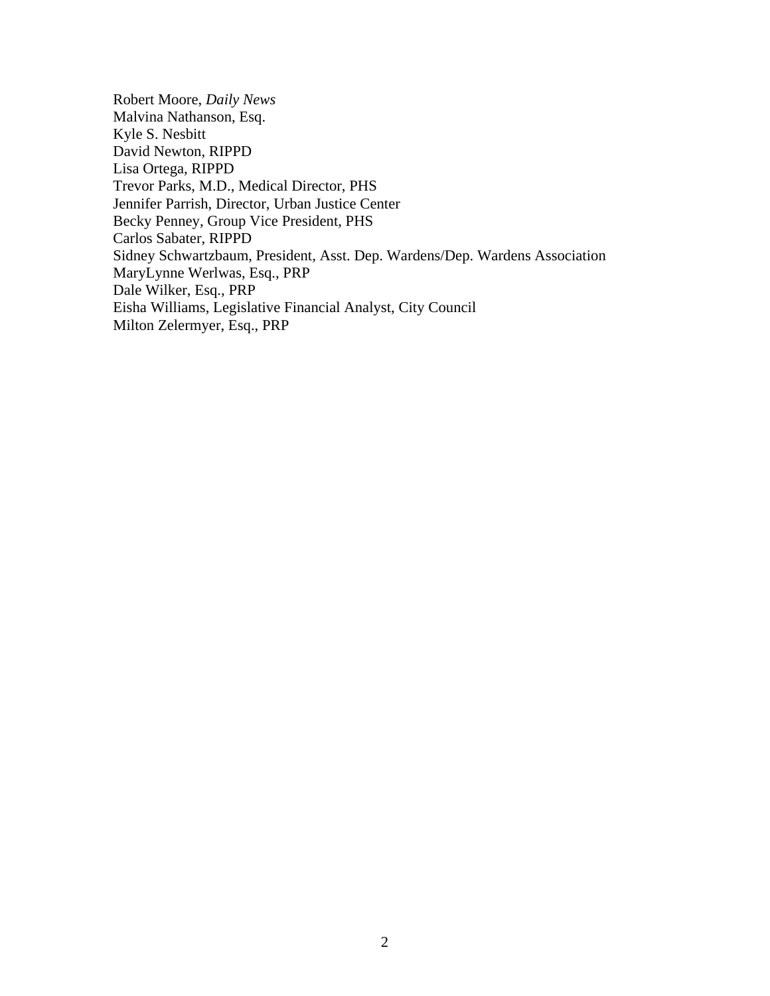Robert Moore, *Daily News*  Malvina Nathanson, Esq. Kyle S. Nesbitt David Newton, RIPPD Lisa Ortega, RIPPD Trevor Parks, M.D., Medical Director, PHS Jennifer Parrish, Director, Urban Justice Center Becky Penney, Group Vice President, PHS Carlos Sabater, RIPPD Sidney Schwartzbaum, President, Asst. Dep. Wardens/Dep. Wardens Association MaryLynne Werlwas, Esq., PRP Dale Wilker, Esq., PRP Eisha Williams, Legislative Financial Analyst, City Council Milton Zelermyer, Esq., PRP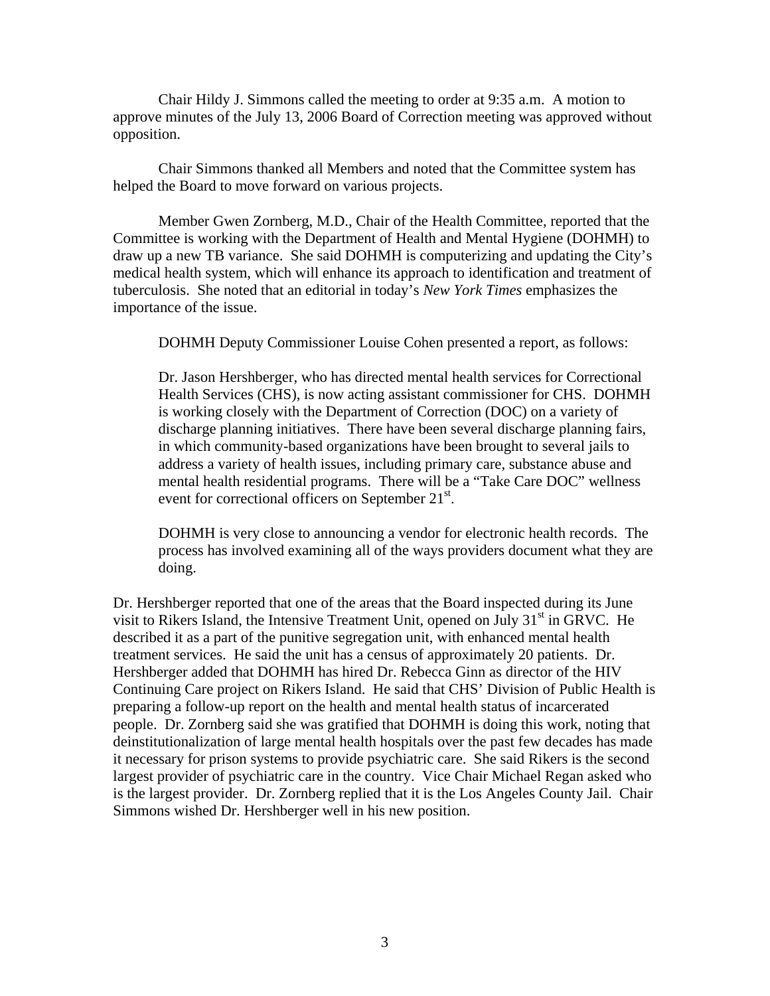Chair Hildy J. Simmons called the meeting to order at 9:35 a.m. A motion to approve minutes of the July 13, 2006 Board of Correction meeting was approved without opposition.

 Chair Simmons thanked all Members and noted that the Committee system has helped the Board to move forward on various projects.

 Member Gwen Zornberg, M.D., Chair of the Health Committee, reported that the Committee is working with the Department of Health and Mental Hygiene (DOHMH) to draw up a new TB variance. She said DOHMH is computerizing and updating the City's medical health system, which will enhance its approach to identification and treatment of tuberculosis. She noted that an editorial in today's *New York Times* emphasizes the importance of the issue.

DOHMH Deputy Commissioner Louise Cohen presented a report, as follows:

Dr. Jason Hershberger, who has directed mental health services for Correctional Health Services (CHS), is now acting assistant commissioner for CHS. DOHMH is working closely with the Department of Correction (DOC) on a variety of discharge planning initiatives. There have been several discharge planning fairs, in which community-based organizations have been brought to several jails to address a variety of health issues, including primary care, substance abuse and mental health residential programs. There will be a "Take Care DOC" wellness event for correctional officers on September  $21<sup>st</sup>$ .

DOHMH is very close to announcing a vendor for electronic health records. The process has involved examining all of the ways providers document what they are doing.

Dr. Hershberger reported that one of the areas that the Board inspected during its June visit to Rikers Island, the Intensive Treatment Unit, opened on July 31<sup>st</sup> in GRVC. He described it as a part of the punitive segregation unit, with enhanced mental health treatment services. He said the unit has a census of approximately 20 patients. Dr. Hershberger added that DOHMH has hired Dr. Rebecca Ginn as director of the HIV Continuing Care project on Rikers Island. He said that CHS' Division of Public Health is preparing a follow-up report on the health and mental health status of incarcerated people. Dr. Zornberg said she was gratified that DOHMH is doing this work, noting that deinstitutionalization of large mental health hospitals over the past few decades has made it necessary for prison systems to provide psychiatric care. She said Rikers is the second largest provider of psychiatric care in the country. Vice Chair Michael Regan asked who is the largest provider. Dr. Zornberg replied that it is the Los Angeles County Jail. Chair Simmons wished Dr. Hershberger well in his new position.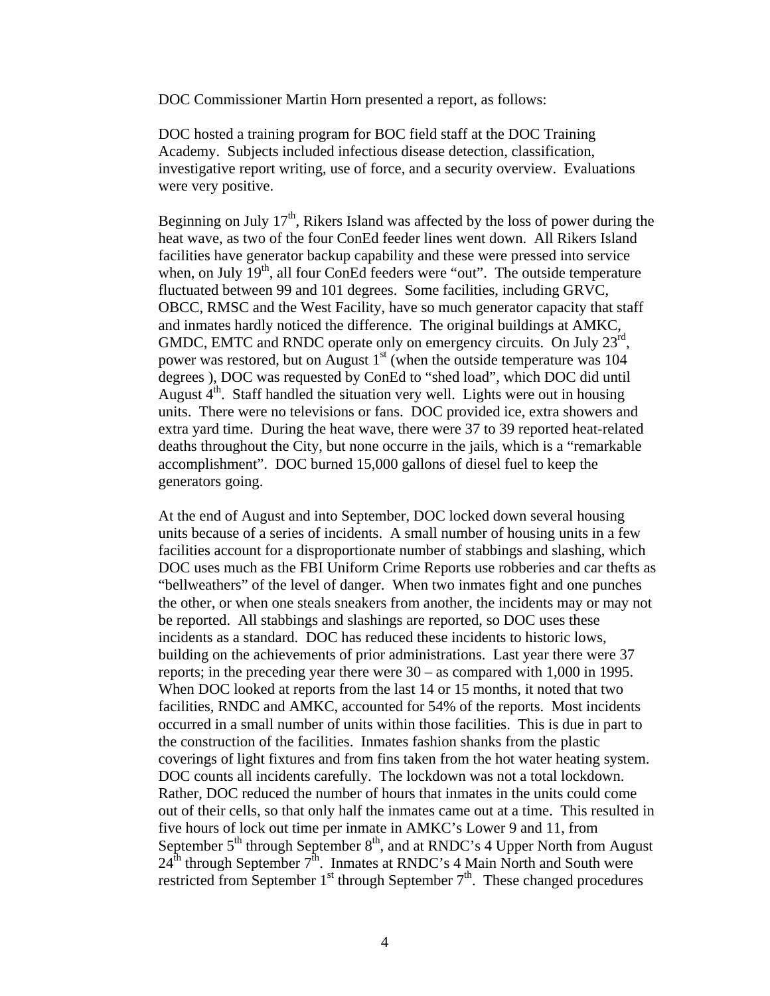DOC Commissioner Martin Horn presented a report, as follows:

DOC hosted a training program for BOC field staff at the DOC Training Academy. Subjects included infectious disease detection, classification, investigative report writing, use of force, and a security overview. Evaluations were very positive.

Beginning on July  $17<sup>th</sup>$ , Rikers Island was affected by the loss of power during the heat wave, as two of the four ConEd feeder lines went down. All Rikers Island facilities have generator backup capability and these were pressed into service when, on July  $19<sup>th</sup>$ , all four ConEd feeders were "out". The outside temperature fluctuated between 99 and 101 degrees. Some facilities, including GRVC, OBCC, RMSC and the West Facility, have so much generator capacity that staff and inmates hardly noticed the difference. The original buildings at AMKC, GMDC, EMTC and RNDC operate only on emergency circuits. On July 23<sup>rd</sup>, power was restored, but on August  $1<sup>st</sup>$  (when the outside temperature was 104 degrees ), DOC was requested by ConEd to "shed load", which DOC did until August  $4<sup>th</sup>$ . Staff handled the situation very well. Lights were out in housing units. There were no televisions or fans. DOC provided ice, extra showers and extra yard time. During the heat wave, there were 37 to 39 reported heat-related deaths throughout the City, but none occurre in the jails, which is a "remarkable accomplishment". DOC burned 15,000 gallons of diesel fuel to keep the generators going.

At the end of August and into September, DOC locked down several housing units because of a series of incidents. A small number of housing units in a few facilities account for a disproportionate number of stabbings and slashing, which DOC uses much as the FBI Uniform Crime Reports use robberies and car thefts as "bellweathers" of the level of danger. When two inmates fight and one punches the other, or when one steals sneakers from another, the incidents may or may not be reported. All stabbings and slashings are reported, so DOC uses these incidents as a standard. DOC has reduced these incidents to historic lows, building on the achievements of prior administrations. Last year there were 37 reports; in the preceding year there were 30 – as compared with 1,000 in 1995. When DOC looked at reports from the last 14 or 15 months, it noted that two facilities, RNDC and AMKC, accounted for 54% of the reports. Most incidents occurred in a small number of units within those facilities. This is due in part to the construction of the facilities. Inmates fashion shanks from the plastic coverings of light fixtures and from fins taken from the hot water heating system. DOC counts all incidents carefully. The lockdown was not a total lockdown. Rather, DOC reduced the number of hours that inmates in the units could come out of their cells, so that only half the inmates came out at a time. This resulted in five hours of lock out time per inmate in AMKC's Lower 9 and 11, from September  $5<sup>th</sup>$  through September  $8<sup>th</sup>$ , and at RNDC's 4 Upper North from August  $24<sup>th</sup>$  through September  $7<sup>th</sup>$ . Inmates at RNDC's 4 Main North and South were restricted from September  $1<sup>st</sup>$  through September  $7<sup>th</sup>$ . These changed procedures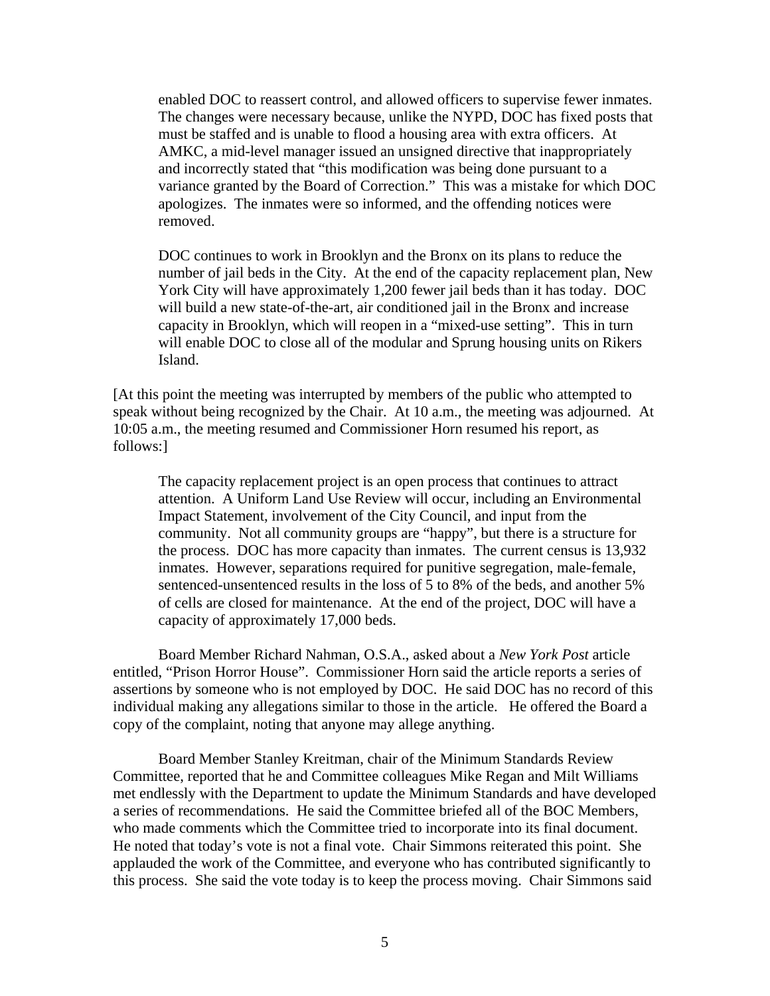enabled DOC to reassert control, and allowed officers to supervise fewer inmates. The changes were necessary because, unlike the NYPD, DOC has fixed posts that must be staffed and is unable to flood a housing area with extra officers. At AMKC, a mid-level manager issued an unsigned directive that inappropriately and incorrectly stated that "this modification was being done pursuant to a variance granted by the Board of Correction." This was a mistake for which DOC apologizes. The inmates were so informed, and the offending notices were removed.

DOC continues to work in Brooklyn and the Bronx on its plans to reduce the number of jail beds in the City. At the end of the capacity replacement plan, New York City will have approximately 1,200 fewer jail beds than it has today. DOC will build a new state-of-the-art, air conditioned jail in the Bronx and increase capacity in Brooklyn, which will reopen in a "mixed-use setting". This in turn will enable DOC to close all of the modular and Sprung housing units on Rikers Island.

[At this point the meeting was interrupted by members of the public who attempted to speak without being recognized by the Chair. At 10 a.m., the meeting was adjourned. At 10:05 a.m., the meeting resumed and Commissioner Horn resumed his report, as follows:]

The capacity replacement project is an open process that continues to attract attention. A Uniform Land Use Review will occur, including an Environmental Impact Statement, involvement of the City Council, and input from the community. Not all community groups are "happy", but there is a structure for the process. DOC has more capacity than inmates. The current census is 13,932 inmates. However, separations required for punitive segregation, male-female, sentenced-unsentenced results in the loss of 5 to 8% of the beds, and another 5% of cells are closed for maintenance. At the end of the project, DOC will have a capacity of approximately 17,000 beds.

 Board Member Richard Nahman, O.S.A., asked about a *New York Post* article entitled, "Prison Horror House". Commissioner Horn said the article reports a series of assertions by someone who is not employed by DOC. He said DOC has no record of this individual making any allegations similar to those in the article. He offered the Board a copy of the complaint, noting that anyone may allege anything.

 Board Member Stanley Kreitman, chair of the Minimum Standards Review Committee, reported that he and Committee colleagues Mike Regan and Milt Williams met endlessly with the Department to update the Minimum Standards and have developed a series of recommendations. He said the Committee briefed all of the BOC Members, who made comments which the Committee tried to incorporate into its final document. He noted that today's vote is not a final vote. Chair Simmons reiterated this point. She applauded the work of the Committee, and everyone who has contributed significantly to this process. She said the vote today is to keep the process moving. Chair Simmons said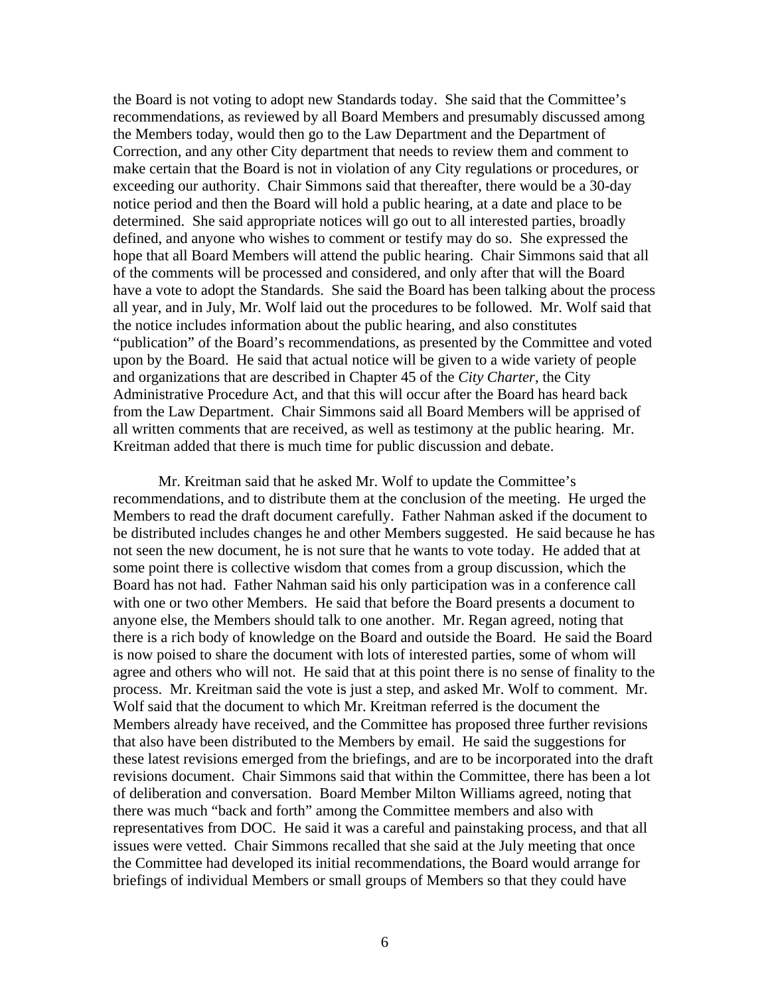the Board is not voting to adopt new Standards today. She said that the Committee's recommendations, as reviewed by all Board Members and presumably discussed among the Members today, would then go to the Law Department and the Department of Correction, and any other City department that needs to review them and comment to make certain that the Board is not in violation of any City regulations or procedures, or exceeding our authority. Chair Simmons said that thereafter, there would be a 30-day notice period and then the Board will hold a public hearing, at a date and place to be determined. She said appropriate notices will go out to all interested parties, broadly defined, and anyone who wishes to comment or testify may do so. She expressed the hope that all Board Members will attend the public hearing. Chair Simmons said that all of the comments will be processed and considered, and only after that will the Board have a vote to adopt the Standards. She said the Board has been talking about the process all year, and in July, Mr. Wolf laid out the procedures to be followed. Mr. Wolf said that the notice includes information about the public hearing, and also constitutes "publication" of the Board's recommendations, as presented by the Committee and voted upon by the Board. He said that actual notice will be given to a wide variety of people and organizations that are described in Chapter 45 of the *City Charter*, the City Administrative Procedure Act, and that this will occur after the Board has heard back from the Law Department. Chair Simmons said all Board Members will be apprised of all written comments that are received, as well as testimony at the public hearing. Mr. Kreitman added that there is much time for public discussion and debate.

 Mr. Kreitman said that he asked Mr. Wolf to update the Committee's recommendations, and to distribute them at the conclusion of the meeting. He urged the Members to read the draft document carefully. Father Nahman asked if the document to be distributed includes changes he and other Members suggested. He said because he has not seen the new document, he is not sure that he wants to vote today. He added that at some point there is collective wisdom that comes from a group discussion, which the Board has not had. Father Nahman said his only participation was in a conference call with one or two other Members. He said that before the Board presents a document to anyone else, the Members should talk to one another. Mr. Regan agreed, noting that there is a rich body of knowledge on the Board and outside the Board. He said the Board is now poised to share the document with lots of interested parties, some of whom will agree and others who will not. He said that at this point there is no sense of finality to the process. Mr. Kreitman said the vote is just a step, and asked Mr. Wolf to comment. Mr. Wolf said that the document to which Mr. Kreitman referred is the document the Members already have received, and the Committee has proposed three further revisions that also have been distributed to the Members by email. He said the suggestions for these latest revisions emerged from the briefings, and are to be incorporated into the draft revisions document. Chair Simmons said that within the Committee, there has been a lot of deliberation and conversation. Board Member Milton Williams agreed, noting that there was much "back and forth" among the Committee members and also with representatives from DOC. He said it was a careful and painstaking process, and that all issues were vetted. Chair Simmons recalled that she said at the July meeting that once the Committee had developed its initial recommendations, the Board would arrange for briefings of individual Members or small groups of Members so that they could have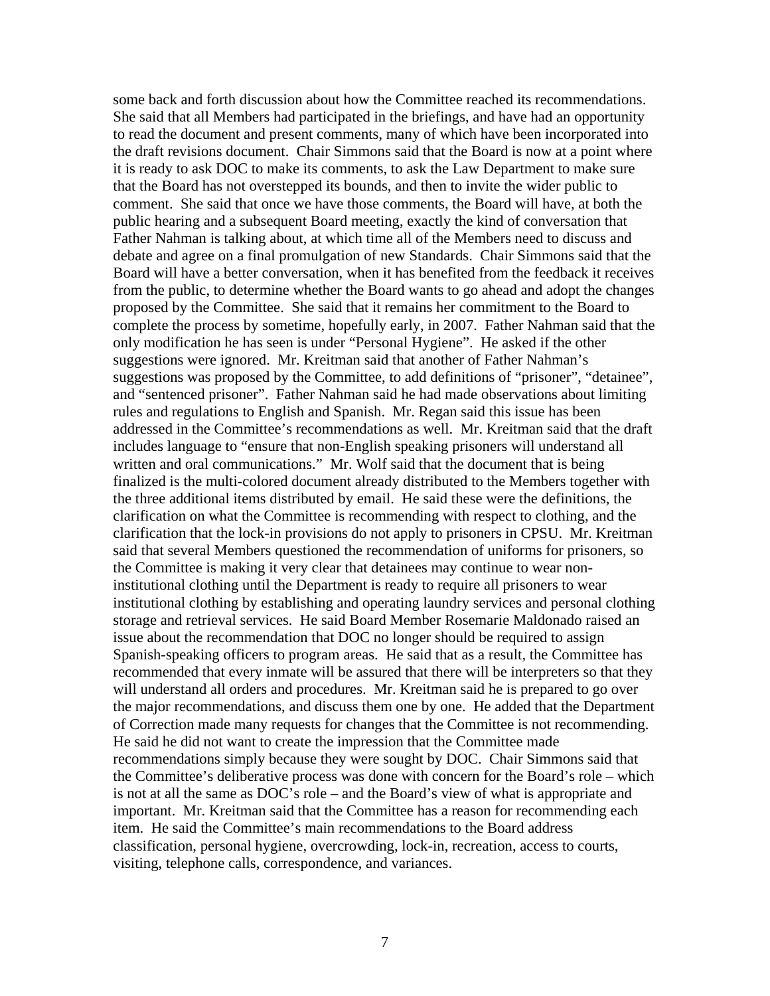some back and forth discussion about how the Committee reached its recommendations. She said that all Members had participated in the briefings, and have had an opportunity to read the document and present comments, many of which have been incorporated into the draft revisions document. Chair Simmons said that the Board is now at a point where it is ready to ask DOC to make its comments, to ask the Law Department to make sure that the Board has not overstepped its bounds, and then to invite the wider public to comment. She said that once we have those comments, the Board will have, at both the public hearing and a subsequent Board meeting, exactly the kind of conversation that Father Nahman is talking about, at which time all of the Members need to discuss and debate and agree on a final promulgation of new Standards. Chair Simmons said that the Board will have a better conversation, when it has benefited from the feedback it receives from the public, to determine whether the Board wants to go ahead and adopt the changes proposed by the Committee. She said that it remains her commitment to the Board to complete the process by sometime, hopefully early, in 2007. Father Nahman said that the only modification he has seen is under "Personal Hygiene". He asked if the other suggestions were ignored. Mr. Kreitman said that another of Father Nahman's suggestions was proposed by the Committee, to add definitions of "prisoner", "detainee", and "sentenced prisoner". Father Nahman said he had made observations about limiting rules and regulations to English and Spanish. Mr. Regan said this issue has been addressed in the Committee's recommendations as well. Mr. Kreitman said that the draft includes language to "ensure that non-English speaking prisoners will understand all written and oral communications." Mr. Wolf said that the document that is being finalized is the multi-colored document already distributed to the Members together with the three additional items distributed by email. He said these were the definitions, the clarification on what the Committee is recommending with respect to clothing, and the clarification that the lock-in provisions do not apply to prisoners in CPSU. Mr. Kreitman said that several Members questioned the recommendation of uniforms for prisoners, so the Committee is making it very clear that detainees may continue to wear noninstitutional clothing until the Department is ready to require all prisoners to wear institutional clothing by establishing and operating laundry services and personal clothing storage and retrieval services. He said Board Member Rosemarie Maldonado raised an issue about the recommendation that DOC no longer should be required to assign Spanish-speaking officers to program areas. He said that as a result, the Committee has recommended that every inmate will be assured that there will be interpreters so that they will understand all orders and procedures. Mr. Kreitman said he is prepared to go over the major recommendations, and discuss them one by one. He added that the Department of Correction made many requests for changes that the Committee is not recommending. He said he did not want to create the impression that the Committee made recommendations simply because they were sought by DOC. Chair Simmons said that the Committee's deliberative process was done with concern for the Board's role – which is not at all the same as DOC's role – and the Board's view of what is appropriate and important. Mr. Kreitman said that the Committee has a reason for recommending each item. He said the Committee's main recommendations to the Board address classification, personal hygiene, overcrowding, lock-in, recreation, access to courts, visiting, telephone calls, correspondence, and variances.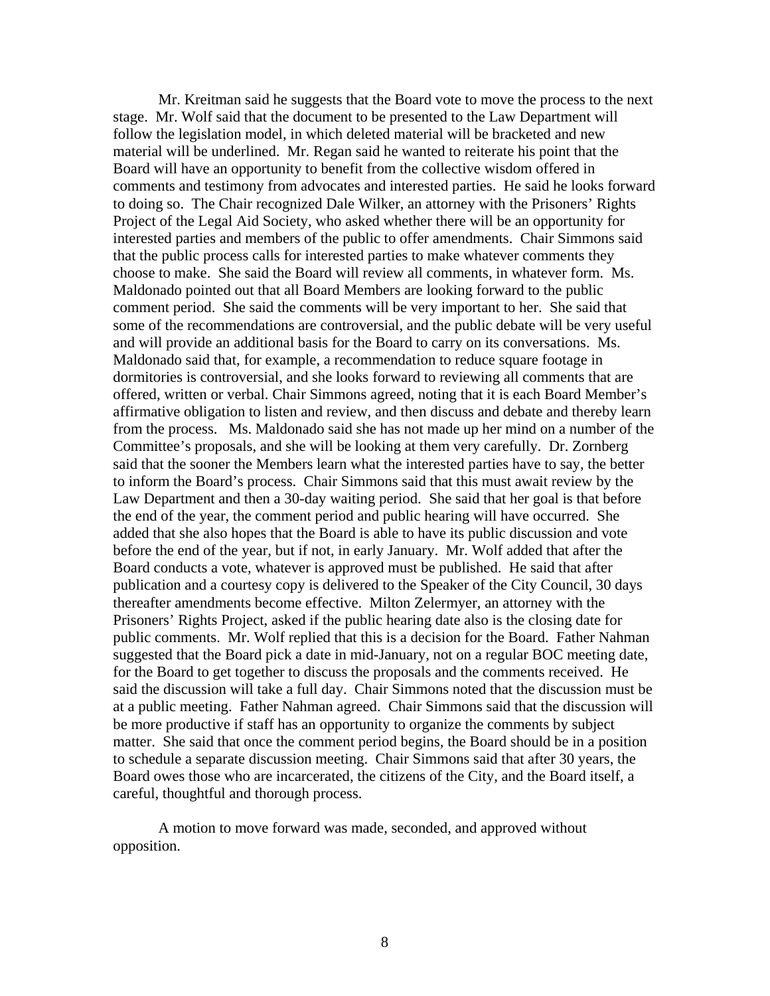Mr. Kreitman said he suggests that the Board vote to move the process to the next stage. Mr. Wolf said that the document to be presented to the Law Department will follow the legislation model, in which deleted material will be bracketed and new material will be underlined. Mr. Regan said he wanted to reiterate his point that the Board will have an opportunity to benefit from the collective wisdom offered in comments and testimony from advocates and interested parties. He said he looks forward to doing so. The Chair recognized Dale Wilker, an attorney with the Prisoners' Rights Project of the Legal Aid Society, who asked whether there will be an opportunity for interested parties and members of the public to offer amendments. Chair Simmons said that the public process calls for interested parties to make whatever comments they choose to make. She said the Board will review all comments, in whatever form. Ms. Maldonado pointed out that all Board Members are looking forward to the public comment period. She said the comments will be very important to her. She said that some of the recommendations are controversial, and the public debate will be very useful and will provide an additional basis for the Board to carry on its conversations. Ms. Maldonado said that, for example, a recommendation to reduce square footage in dormitories is controversial, and she looks forward to reviewing all comments that are offered, written or verbal. Chair Simmons agreed, noting that it is each Board Member's affirmative obligation to listen and review, and then discuss and debate and thereby learn from the process. Ms. Maldonado said she has not made up her mind on a number of the Committee's proposals, and she will be looking at them very carefully. Dr. Zornberg said that the sooner the Members learn what the interested parties have to say, the better to inform the Board's process. Chair Simmons said that this must await review by the Law Department and then a 30-day waiting period. She said that her goal is that before the end of the year, the comment period and public hearing will have occurred. She added that she also hopes that the Board is able to have its public discussion and vote before the end of the year, but if not, in early January. Mr. Wolf added that after the Board conducts a vote, whatever is approved must be published. He said that after publication and a courtesy copy is delivered to the Speaker of the City Council, 30 days thereafter amendments become effective. Milton Zelermyer, an attorney with the Prisoners' Rights Project, asked if the public hearing date also is the closing date for public comments. Mr. Wolf replied that this is a decision for the Board. Father Nahman suggested that the Board pick a date in mid-January, not on a regular BOC meeting date, for the Board to get together to discuss the proposals and the comments received. He said the discussion will take a full day. Chair Simmons noted that the discussion must be at a public meeting. Father Nahman agreed. Chair Simmons said that the discussion will be more productive if staff has an opportunity to organize the comments by subject matter. She said that once the comment period begins, the Board should be in a position to schedule a separate discussion meeting. Chair Simmons said that after 30 years, the Board owes those who are incarcerated, the citizens of the City, and the Board itself, a careful, thoughtful and thorough process.

 A motion to move forward was made, seconded, and approved without opposition.